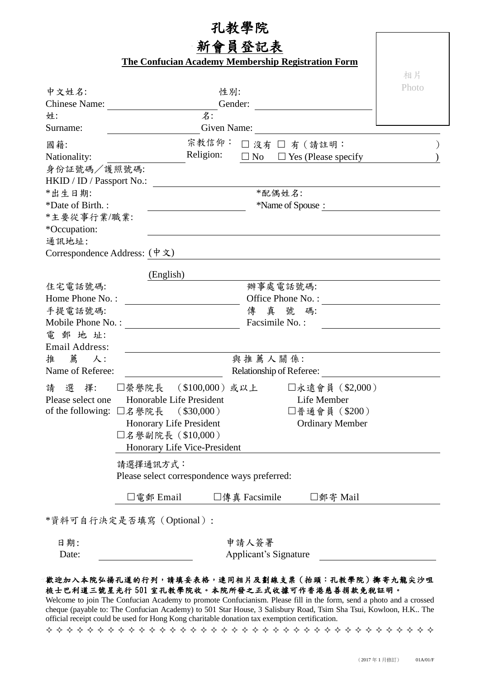## 孔教學院 員登記表 **The Confucian Academy Membership Registration Form** 相片 Photo 中文姓名: 性別: Gender: Chinese Name: 名: 姓: Surname: Given Name: 宗教信仰: 國籍:  $\square$  沒有  $\square$  有  $($  請註明:  $\hspace{1.6cm} )$ Religion: Nationality:  $\Box$  No  $\Box$  Yes (Please specify ) 身份証號碼/護照號碼: HKID / ID / Passport No.: \*配偶姓名:  $*$ 出生日期: \*Name of Spouse : \*Date of Birth. : \*主要從事行業/職業: \*Occupation: 通訊地址: Correspondence Address: (中文) (English) 辦事處電話號碼: 住宅電話號碼: Office Phone No. : Home Phone No. : 手提電話號碼: 傳真 號碼: Mobile Phone No. : Facsimile No. : 電 郵 地 址: Email Address: 與推薦人關係: 推 薦 人: Relationship of Referee: Name of Referee: 請 選 擇: 榮譽院長 (\$100,000)或以上 永遠會員(\$2,000) Honorable Life President Life Member Please select one of the following: 名譽院長 (\$30,000) 普通會員(\$200) Honorary Life President Ordinary Member 名譽副院長(\$10,000) Honorary Life Vice-President 請選擇通訊方式: Please select correspondence ways preferred: □電郵 Email □傳真 Facsimile □雪寄 Mail \*資料可自行決定是否填寫(Optional): 申請人簽署 日期: Date: Applicant's Signature

## 歡迎加入本院弘揚孔道的行列,請填妥表格,連同相片及劃線支票(抬頭:孔教學院)擲寄九龍尖沙咀 梳士巴利道三號星光行 501 室孔教學院收。本院所發之正式收據可作香港慈善捐款免稅証明。

Welcome to join The Confucian Academy to promote Confucianism. Please fill in the form, send a photo and a crossed cheque (payable to: The Confucian Academy) to 501 Star House, 3 Salisbury Road, Tsim Sha Tsui, Kowloon, H.K.. The official receipt could be used for Hong Kong charitable donation tax exemption certification.